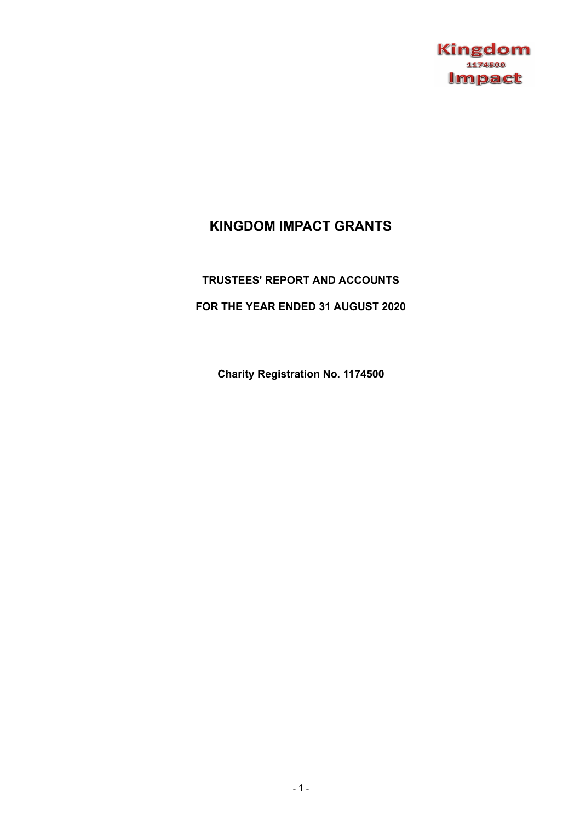

# **KINGDOM IMPACT GRANTS**

## **TRUSTEES' REPORT AND ACCOUNTS**

## **FOR THE YEAR ENDED 31 AUGUST 2020**

**Charity Registration No. 1174500**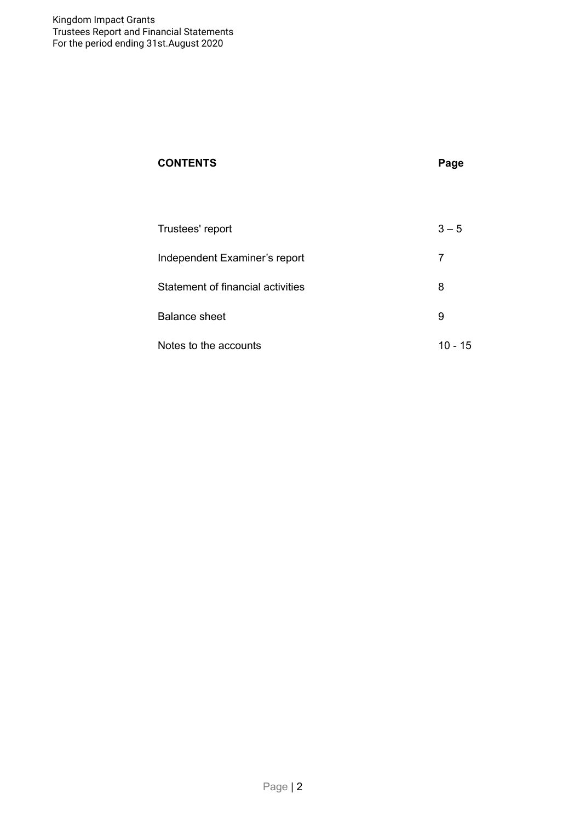# **CONTENTS Page**

| Trustees' report                  | $3 - 5$   |
|-----------------------------------|-----------|
| Independent Examiner's report     |           |
| Statement of financial activities | 8         |
| Balance sheet                     | 9         |
| Notes to the accounts             | $10 - 15$ |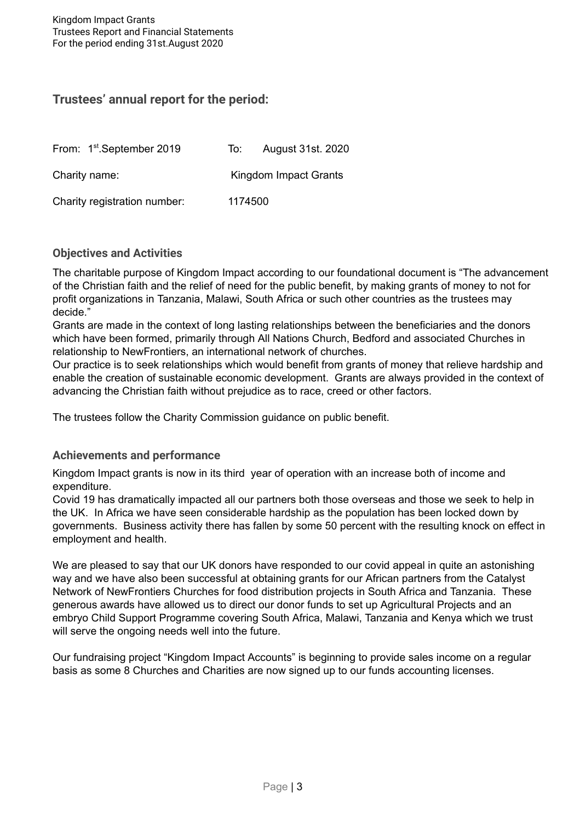# **Trustees' annual report for the period:**

| From: 1 <sup>st</sup> .September 2019 | To:     | <b>August 31st. 2020</b> |
|---------------------------------------|---------|--------------------------|
| Charity name:                         |         | Kingdom Impact Grants    |
| Charity registration number:          | 1174500 |                          |

### **Objectives and Activities**

The charitable purpose of Kingdom Impact according to our foundational document is "The advancement of the Christian faith and the relief of need for the public benefit, by making grants of money to not for profit organizations in Tanzania, Malawi, South Africa or such other countries as the trustees may decide."

Grants are made in the context of long lasting relationships between the beneficiaries and the donors which have been formed, primarily through All Nations Church, Bedford and associated Churches in relationship to NewFrontiers, an international network of churches.

Our practice is to seek relationships which would benefit from grants of money that relieve hardship and enable the creation of sustainable economic development. Grants are always provided in the context of advancing the Christian faith without prejudice as to race, creed or other factors.

The trustees follow the Charity Commission guidance on public benefit.

### **Achievements and performance**

Kingdom Impact grants is now in its third year of operation with an increase both of income and expenditure.

Covid 19 has dramatically impacted all our partners both those overseas and those we seek to help in the UK. In Africa we have seen considerable hardship as the population has been locked down by governments. Business activity there has fallen by some 50 percent with the resulting knock on effect in employment and health.

We are pleased to say that our UK donors have responded to our covid appeal in quite an astonishing way and we have also been successful at obtaining grants for our African partners from the Catalyst Network of NewFrontiers Churches for food distribution projects in South Africa and Tanzania. These generous awards have allowed us to direct our donor funds to set up Agricultural Projects and an embryo Child Support Programme covering South Africa, Malawi, Tanzania and Kenya which we trust will serve the ongoing needs well into the future.

Our fundraising project "Kingdom Impact Accounts" is beginning to provide sales income on a regular basis as some 8 Churches and Charities are now signed up to our funds accounting licenses.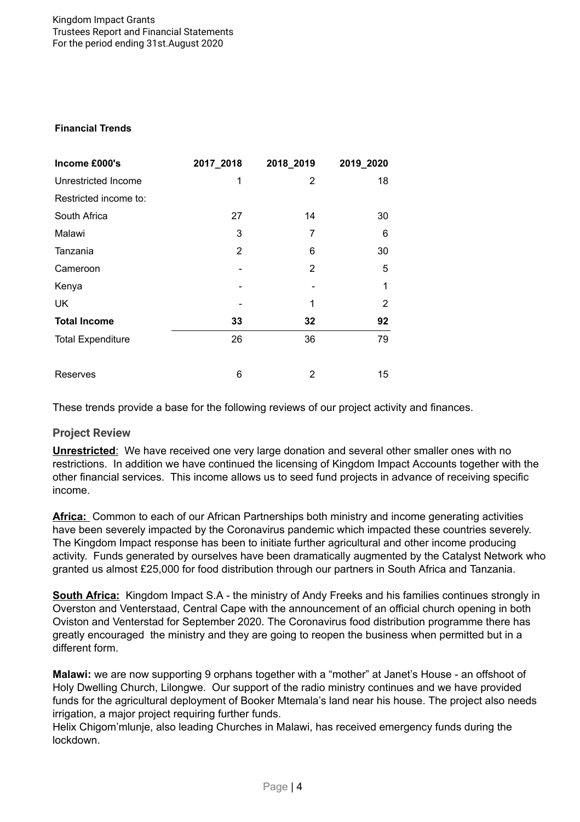#### **Financial Trends**

| Income £000's            | 2017_2018      | 2018_2019 | 2019_2020 |
|--------------------------|----------------|-----------|-----------|
| Unrestricted Income      | 1              | 2         | 18        |
| Restricted income to:    |                |           |           |
| South Africa             | 27             | 14        | 30        |
| Malawi                   | 3              | 7         | 6         |
| Tanzania                 | $\overline{2}$ | 6         | 30        |
| Cameroon                 |                | 2         | 5         |
| Kenya                    |                |           | 1         |
| UK                       |                | 1         | 2         |
| <b>Total Income</b>      | 33             | 32        | 92        |
| <b>Total Expenditure</b> | 26             | 36        | 79        |
| Reserves                 | 6              | 2         | 15        |

These trends provide a base for the following reviews of our project activity and finances.

### **Project Review**

**Unrestricted**: We have received one very large donation and several other smaller ones with no restrictions. In addition we have continued the licensing of Kingdom Impact Accounts together with the other financial services. This income allows us to seed fund projects in advance of receiving specific income.

**Africa:** Common to each of our African Partnerships both ministry and income generating activities have been severely impacted by the Coronavirus pandemic which impacted these countries severely. The Kingdom Impact response has been to initiate further agricultural and other income producing activity. Funds generated by ourselves have been dramatically augmented by the Catalyst Network who granted us almost £25,000 for food distribution through our partners in South Africa and Tanzania.

**South Africa:** Kingdom Impact S.A - the ministry of Andy Freeks and his families continues strongly in Overston and Venterstaad, Central Cape with the announcement of an official church opening in both Oviston and Venterstad for September 2020. The Coronavirus food distribution programme there has greatly encouraged the ministry and they are going to reopen the business when permitted but in a different form.

**Malawi:** we are now supporting 9 orphans together with a "mother" at Janet's House - an offshoot of Holy Dwelling Church, Lilongwe. Our support of the radio ministry continues and we have provided funds for the agricultural deployment of Booker Mtemala's land near his house. The project also needs irrigation, a major project requiring further funds.

Helix Chigom'mlunje, also leading Churches in Malawi, has received emergency funds during the lockdown.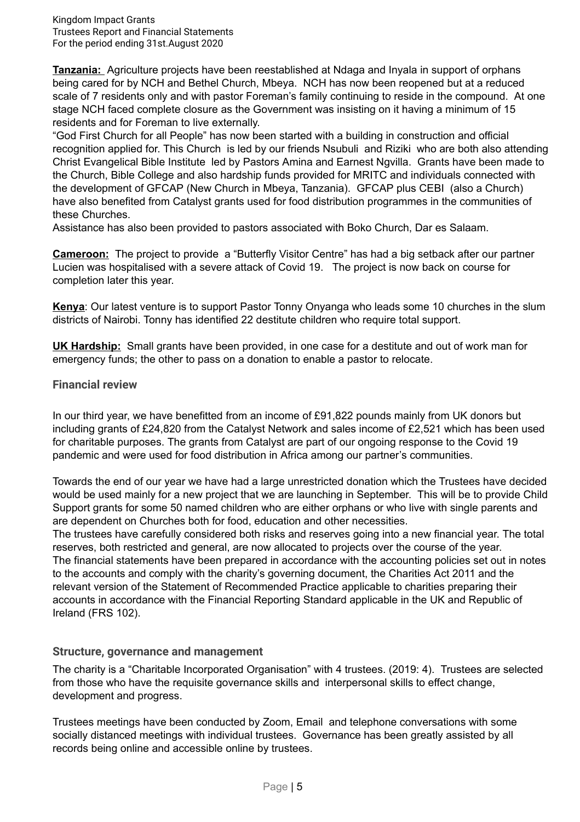**Tanzania:** Agriculture projects have been reestablished at Ndaga and Inyala in support of orphans being cared for by NCH and Bethel Church, Mbeya. NCH has now been reopened but at a reduced scale of 7 residents only and with pastor Foreman's family continuing to reside in the compound. At one stage NCH faced complete closure as the Government was insisting on it having a minimum of 15 residents and for Foreman to live externally.

"God First Church for all People" has now been started with a building in construction and official recognition applied for. This Church is led by our friends Nsubuli and Riziki who are both also attending Christ Evangelical Bible Institute led by Pastors Amina and Earnest Ngvilla. Grants have been made to the Church, Bible College and also hardship funds provided for MRITC and individuals connected with the development of GFCAP (New Church in Mbeya, Tanzania). GFCAP plus CEBI (also a Church) have also benefited from Catalyst grants used for food distribution programmes in the communities of these Churches.

Assistance has also been provided to pastors associated with Boko Church, Dar es Salaam.

**Cameroon:** The project to provide a "Butterfly Visitor Centre" has had a big setback after our partner Lucien was hospitalised with a severe attack of Covid 19. The project is now back on course for completion later this year.

**Kenya**: Our latest venture is to support Pastor Tonny Onyanga who leads some 10 churches in the slum districts of Nairobi. Tonny has identified 22 destitute children who require total support.

**UK Hardship:** Small grants have been provided, in one case for a destitute and out of work man for emergency funds; the other to pass on a donation to enable a pastor to relocate.

#### **Financial review**

In our third year, we have benefitted from an income of £91,822 pounds mainly from UK donors but including grants of £24,820 from the Catalyst Network and sales income of £2,521 which has been used for charitable purposes. The grants from Catalyst are part of our ongoing response to the Covid 19 pandemic and were used for food distribution in Africa among our partner's communities.

Towards the end of our year we have had a large unrestricted donation which the Trustees have decided would be used mainly for a new project that we are launching in September. This will be to provide Child Support grants for some 50 named children who are either orphans or who live with single parents and are dependent on Churches both for food, education and other necessities.

The trustees have carefully considered both risks and reserves going into a new financial year. The total reserves, both restricted and general, are now allocated to projects over the course of the year. The financial statements have been prepared in accordance with the accounting policies set out in notes to the accounts and comply with the charity's governing document, the Charities Act 2011 and the relevant version of the Statement of Recommended Practice applicable to charities preparing their accounts in accordance with the Financial Reporting Standard applicable in the UK and Republic of Ireland (FRS 102).

#### **Structure, governance and management**

The charity is a "Charitable Incorporated Organisation" with 4 trustees. (2019: 4). Trustees are selected from those who have the requisite governance skills and interpersonal skills to effect change, development and progress.

Trustees meetings have been conducted by Zoom, Email and telephone conversations with some socially distanced meetings with individual trustees. Governance has been greatly assisted by all records being online and accessible online by trustees.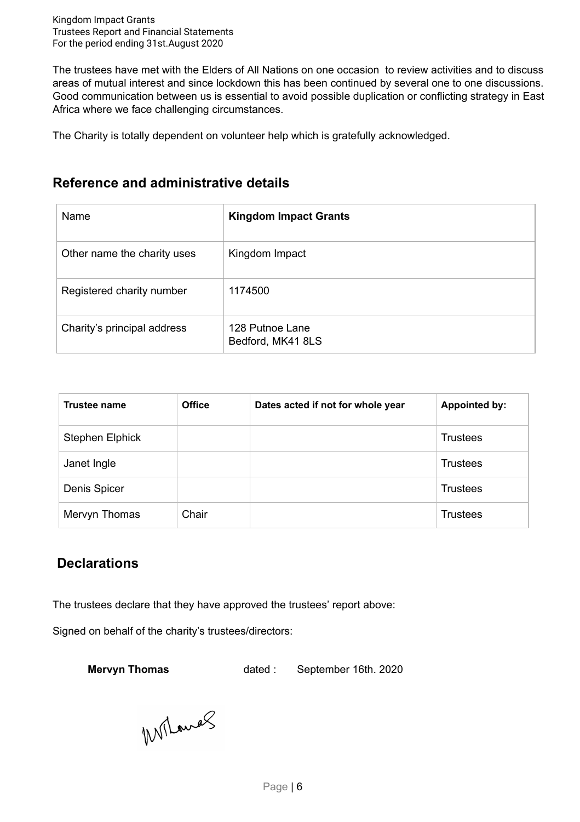The trustees have met with the Elders of All Nations on one occasion to review activities and to discuss areas of mutual interest and since lockdown this has been continued by several one to one discussions. Good communication between us is essential to avoid possible duplication or conflicting strategy in East Africa where we face challenging circumstances.

The Charity is totally dependent on volunteer help which is gratefully acknowledged.

# **Reference and administrative details**

| Name                        | <b>Kingdom Impact Grants</b>         |
|-----------------------------|--------------------------------------|
| Other name the charity uses | Kingdom Impact                       |
| Registered charity number   | 1174500                              |
| Charity's principal address | 128 Putnoe Lane<br>Bedford, MK41 8LS |

| Trustee name        | <b>Office</b> | Dates acted if not for whole year | <b>Appointed by:</b> |
|---------------------|---------------|-----------------------------------|----------------------|
| Stephen Elphick     |               |                                   | Trustees             |
| Janet Ingle         |               |                                   | <b>Trustees</b>      |
| <b>Denis Spicer</b> |               |                                   | <b>Trustees</b>      |
| Mervyn Thomas       | Chair         |                                   | <b>Trustees</b>      |

# **Declarations**

The trustees declare that they have approved the trustees' report above:

Signed on behalf of the charity's trustees/directors:

**Mervyn Thomas** dated : September 16th. 2020

Wilands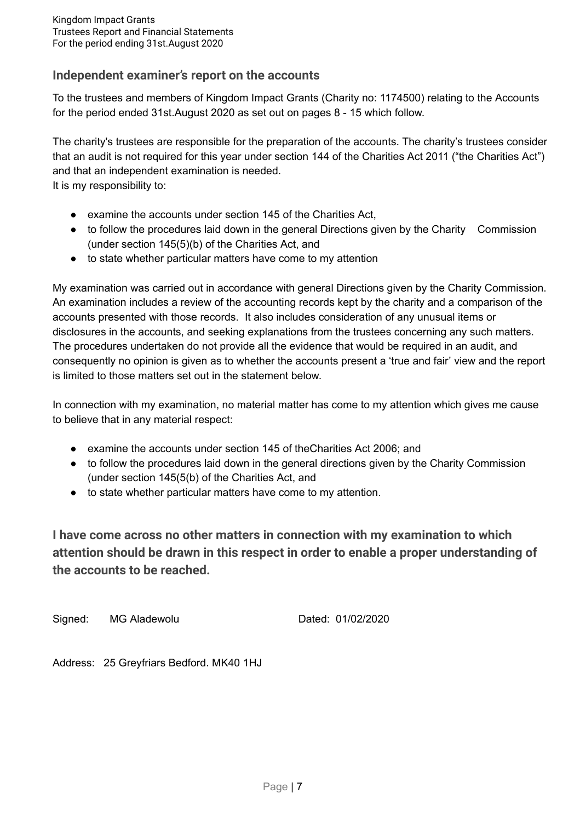## **Independent examiner's report on the accounts**

To the trustees and members of Kingdom Impact Grants (Charity no: 1174500) relating to the Accounts for the period ended 31st.August 2020 as set out on pages 8 - 15 which follow.

The charity's trustees are responsible for the preparation of the accounts. The charity's trustees consider that an audit is not required for this year under section 144 of the Charities Act 2011 ("the Charities Act") and that an independent examination is needed.

It is my responsibility to:

- examine the accounts under section 145 of the Charities Act,
- to follow the procedures laid down in the general Directions given by the Charity Commission (under section 145(5)(b) of the Charities Act, and
- to state whether particular matters have come to my attention

My examination was carried out in accordance with general Directions given by the Charity Commission. An examination includes a review of the accounting records kept by the charity and a comparison of the accounts presented with those records. It also includes consideration of any unusual items or disclosures in the accounts, and seeking explanations from the trustees concerning any such matters. The procedures undertaken do not provide all the evidence that would be required in an audit, and consequently no opinion is given as to whether the accounts present a 'true and fair' view and the report is limited to those matters set out in the statement below.

In connection with my examination, no material matter has come to my attention which gives me cause to believe that in any material respect:

- examine the accounts under section 145 of theCharities Act 2006; and
- to follow the procedures laid down in the general directions given by the Charity Commission (under section 145(5(b) of the Charities Act, and
- to state whether particular matters have come to my attention.

**I have come across no other matters in connection with my examination to which attention should be drawn in this respect in order to enable a proper understanding of the accounts to be reached.**

Signed: MG Aladewolu Dated: 01/02/2020

Address: 25 Greyfriars Bedford. MK40 1HJ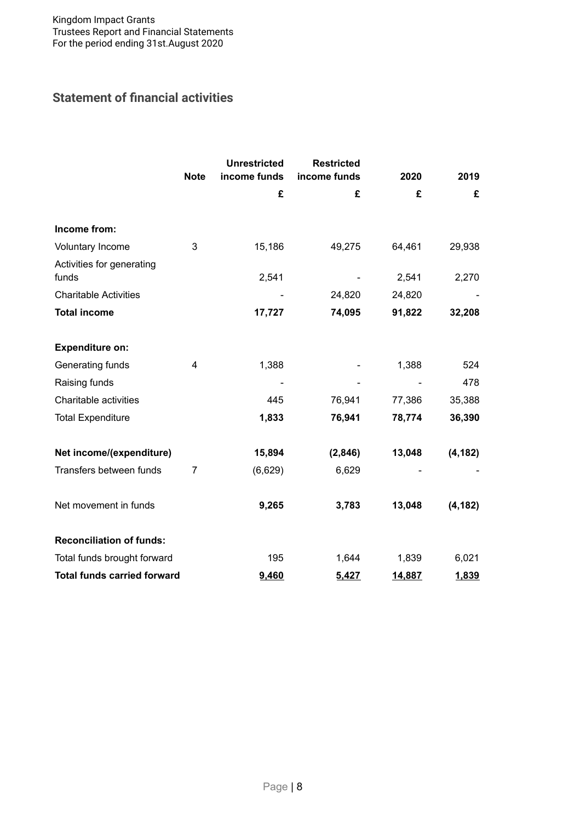# **Statement of financial activities**

|                                    | <b>Note</b>    | <b>Unrestricted</b><br>income funds | <b>Restricted</b><br>income funds | 2020   | 2019     |
|------------------------------------|----------------|-------------------------------------|-----------------------------------|--------|----------|
|                                    |                | £                                   | £                                 | £      | £        |
|                                    |                |                                     |                                   |        |          |
| Income from:                       |                |                                     |                                   |        |          |
| Voluntary Income                   | 3              | 15,186                              | 49,275                            | 64,461 | 29,938   |
| Activities for generating<br>funds |                | 2,541                               |                                   | 2,541  | 2,270    |
| <b>Charitable Activities</b>       |                |                                     | 24,820                            | 24,820 |          |
| <b>Total income</b>                |                | 17,727                              | 74,095                            | 91,822 | 32,208   |
| <b>Expenditure on:</b>             |                |                                     |                                   |        |          |
| Generating funds                   | 4              | 1,388                               |                                   | 1,388  | 524      |
| Raising funds                      |                |                                     |                                   |        | 478      |
| Charitable activities              |                | 445                                 | 76,941                            | 77,386 | 35,388   |
| <b>Total Expenditure</b>           |                | 1,833                               | 76,941                            | 78,774 | 36,390   |
| Net income/(expenditure)           |                | 15,894                              | (2,846)                           | 13,048 | (4, 182) |
| Transfers between funds            | $\overline{7}$ | (6,629)                             | 6,629                             |        |          |
| Net movement in funds              |                | 9,265                               | 3,783                             | 13,048 | (4, 182) |
| <b>Reconciliation of funds:</b>    |                |                                     |                                   |        |          |
| Total funds brought forward        |                | 195                                 | 1,644                             | 1,839  | 6,021    |
| <b>Total funds carried forward</b> |                | 9,460                               | 5,427                             | 14,887 | 1,839    |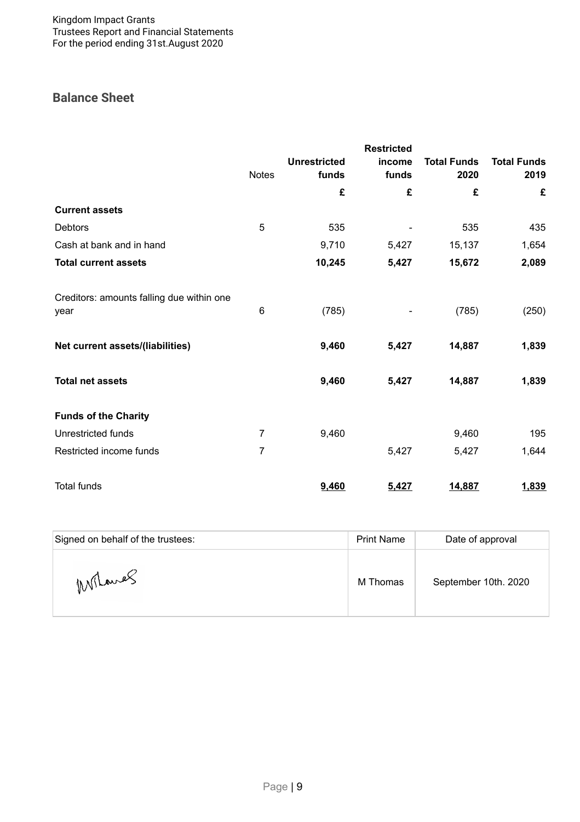# **Balance Sheet**

|                                                   |                |                     | <b>Restricted</b> |                    |                    |
|---------------------------------------------------|----------------|---------------------|-------------------|--------------------|--------------------|
|                                                   |                | <b>Unrestricted</b> | income            | <b>Total Funds</b> | <b>Total Funds</b> |
|                                                   | <b>Notes</b>   | funds               | funds             | 2020               | 2019               |
|                                                   |                | £                   | £                 | £                  | £                  |
| <b>Current assets</b>                             |                |                     |                   |                    |                    |
| <b>Debtors</b>                                    | 5              | 535                 |                   | 535                | 435                |
| Cash at bank and in hand                          |                | 9,710               | 5,427             | 15,137             | 1,654              |
| <b>Total current assets</b>                       |                | 10,245              | 5,427             | 15,672             | 2,089              |
| Creditors: amounts falling due within one<br>year | 6              | (785)               |                   | (785)              | (250)              |
| Net current assets/(liabilities)                  |                | 9,460               | 5,427             | 14,887             | 1,839              |
| <b>Total net assets</b>                           |                | 9,460               | 5,427             | 14,887             | 1,839              |
| <b>Funds of the Charity</b>                       |                |                     |                   |                    |                    |
| <b>Unrestricted funds</b>                         | $\overline{7}$ | 9,460               |                   | 9,460              | 195                |
| Restricted income funds                           | $\overline{7}$ |                     | 5,427             | 5,427              | 1,644              |
| <b>Total funds</b>                                |                | 9,460               | 5,427             | 14,887             | 1,839              |

| Signed on behalf of the trustees: | <b>Print Name</b> | Date of approval     |
|-----------------------------------|-------------------|----------------------|
| Milanes                           | M Thomas          | September 10th. 2020 |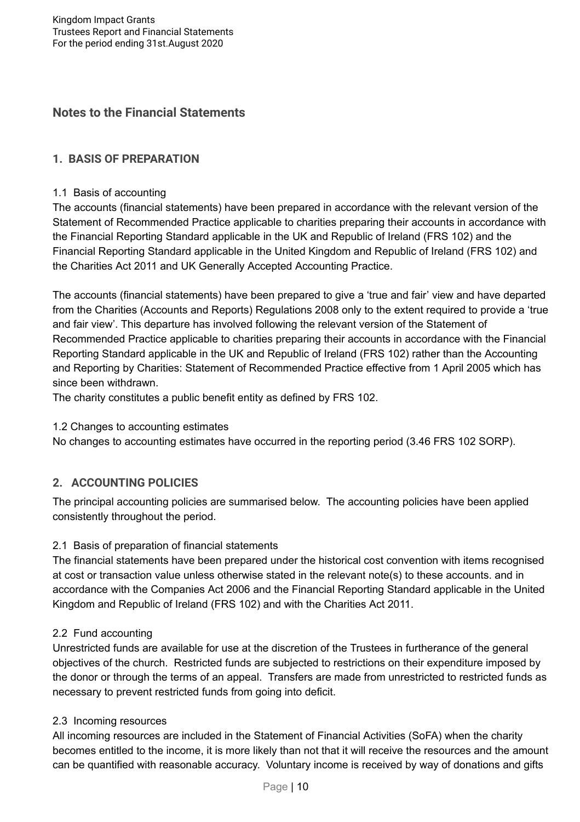## **Notes to the Financial Statements**

## **1. BASIS OF PREPARATION**

#### 1.1 Basis of accounting

The accounts (financial statements) have been prepared in accordance with the relevant version of the Statement of Recommended Practice applicable to charities preparing their accounts in accordance with the Financial Reporting Standard applicable in the UK and Republic of Ireland (FRS 102) and the Financial Reporting Standard applicable in the United Kingdom and Republic of Ireland (FRS 102) and the Charities Act 2011 and UK Generally Accepted Accounting Practice.

The accounts (financial statements) have been prepared to give a 'true and fair' view and have departed from the Charities (Accounts and Reports) Regulations 2008 only to the extent required to provide a 'true and fair view'. This departure has involved following the relevant version of the Statement of Recommended Practice applicable to charities preparing their accounts in accordance with the Financial Reporting Standard applicable in the UK and Republic of Ireland (FRS 102) rather than the Accounting and Reporting by Charities: Statement of Recommended Practice effective from 1 April 2005 which has since been withdrawn.

The charity constitutes a public benefit entity as defined by FRS 102.

### 1.2 Changes to accounting estimates

No changes to accounting estimates have occurred in the reporting period (3.46 FRS 102 SORP).

### **2. ACCOUNTING POLICIES**

The principal accounting policies are summarised below. The accounting policies have been applied consistently throughout the period.

### 2.1 Basis of preparation of financial statements

The financial statements have been prepared under the historical cost convention with items recognised at cost or transaction value unless otherwise stated in the relevant note(s) to these accounts. and in accordance with the Companies Act 2006 and the Financial Reporting Standard applicable in the United Kingdom and Republic of Ireland (FRS 102) and with the Charities Act 2011.

### 2.2 Fund accounting

Unrestricted funds are available for use at the discretion of the Trustees in furtherance of the general objectives of the church. Restricted funds are subjected to restrictions on their expenditure imposed by the donor or through the terms of an appeal. Transfers are made from unrestricted to restricted funds as necessary to prevent restricted funds from going into deficit.

### 2.3 Incoming resources

All incoming resources are included in the Statement of Financial Activities (SoFA) when the charity becomes entitled to the income, it is more likely than not that it will receive the resources and the amount can be quantified with reasonable accuracy. Voluntary income is received by way of donations and gifts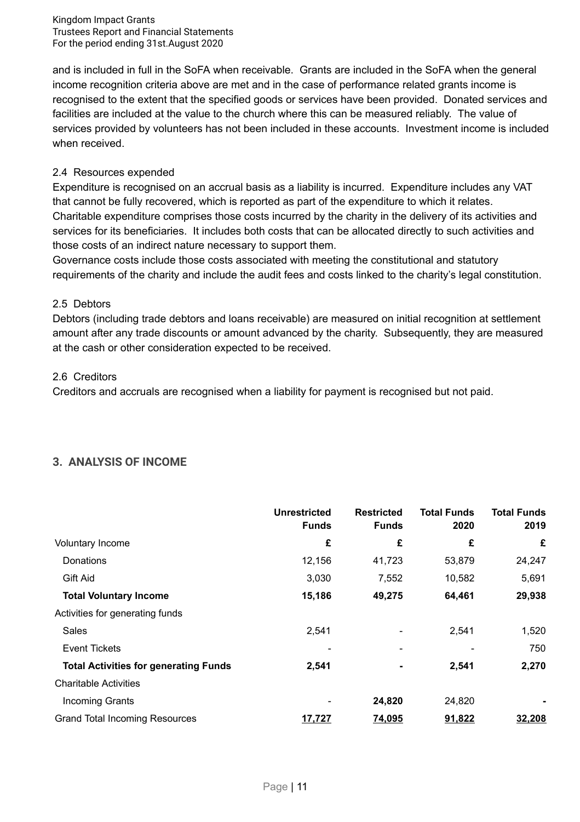and is included in full in the SoFA when receivable. Grants are included in the SoFA when the general income recognition criteria above are met and in the case of performance related grants income is recognised to the extent that the specified goods or services have been provided. Donated services and facilities are included at the value to the church where this can be measured reliably. The value of services provided by volunteers has not been included in these accounts. Investment income is included when received.

#### 2.4 Resources expended

Expenditure is recognised on an accrual basis as a liability is incurred. Expenditure includes any VAT that cannot be fully recovered, which is reported as part of the expenditure to which it relates. Charitable expenditure comprises those costs incurred by the charity in the delivery of its activities and services for its beneficiaries. It includes both costs that can be allocated directly to such activities and those costs of an indirect nature necessary to support them.

Governance costs include those costs associated with meeting the constitutional and statutory requirements of the charity and include the audit fees and costs linked to the charity's legal constitution.

#### 2.5 Debtors

Debtors (including trade debtors and loans receivable) are measured on initial recognition at settlement amount after any trade discounts or amount advanced by the charity. Subsequently, they are measured at the cash or other consideration expected to be received.

#### 2.6 Creditors

Creditors and accruals are recognised when a liability for payment is recognised but not paid.

## **3. ANALYSIS OF INCOME**

|                                              | <b>Unrestricted</b><br><b>Funds</b> | <b>Restricted</b><br><b>Funds</b> | <b>Total Funds</b><br>2020 | <b>Total Funds</b><br>2019 |
|----------------------------------------------|-------------------------------------|-----------------------------------|----------------------------|----------------------------|
| Voluntary Income                             | £                                   | £                                 | £                          | £                          |
| Donations                                    | 12,156                              | 41,723                            | 53,879                     | 24,247                     |
| Gift Aid                                     | 3,030                               | 7,552                             | 10,582                     | 5,691                      |
| <b>Total Voluntary Income</b>                | 15,186                              | 49,275                            | 64,461                     | 29,938                     |
| Activities for generating funds              |                                     |                                   |                            |                            |
| Sales                                        | 2,541                               |                                   | 2,541                      | 1,520                      |
| <b>Event Tickets</b>                         |                                     | ٠                                 |                            | 750                        |
| <b>Total Activities for generating Funds</b> | 2,541                               | $\blacksquare$                    | 2,541                      | 2,270                      |
| <b>Charitable Activities</b>                 |                                     |                                   |                            |                            |
| <b>Incoming Grants</b>                       |                                     | 24,820                            | 24,820                     |                            |
| <b>Grand Total Incoming Resources</b>        | 17,727                              | 74,095                            | 91,822                     | 32,208                     |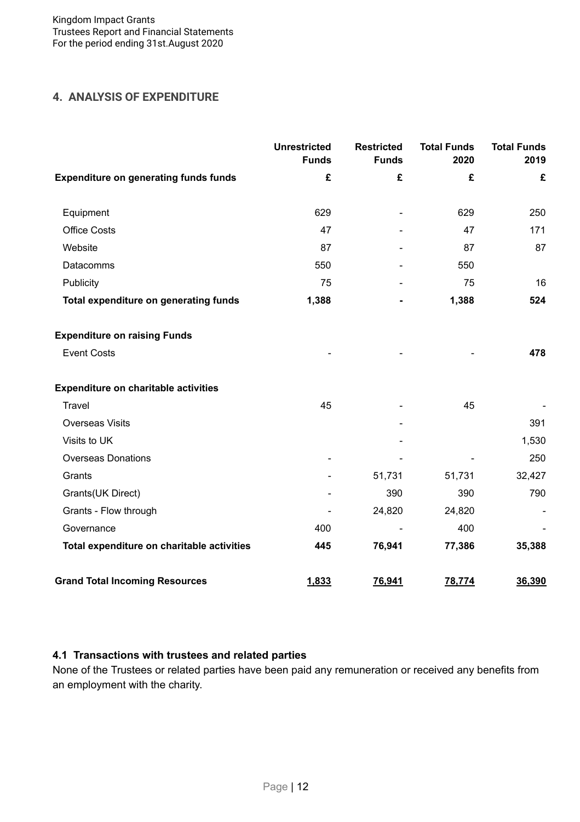## **4. ANALYSIS OF EXPENDITURE**

|                                              | <b>Unrestricted</b><br><b>Funds</b> | <b>Restricted</b><br><b>Funds</b> | <b>Total Funds</b><br>2020 | <b>Total Funds</b><br>2019 |
|----------------------------------------------|-------------------------------------|-----------------------------------|----------------------------|----------------------------|
| <b>Expenditure on generating funds funds</b> | £                                   | £                                 | £                          | £                          |
| Equipment                                    | 629                                 |                                   | 629                        | 250                        |
| <b>Office Costs</b>                          | 47                                  |                                   | 47                         | 171                        |
| Website                                      | 87                                  |                                   | 87                         | 87                         |
| Datacomms                                    | 550                                 |                                   | 550                        |                            |
| Publicity                                    | 75                                  |                                   | 75                         | 16                         |
| Total expenditure on generating funds        | 1,388                               |                                   | 1,388                      | 524                        |
| <b>Expenditure on raising Funds</b>          |                                     |                                   |                            |                            |
| <b>Event Costs</b>                           |                                     |                                   |                            | 478                        |
| <b>Expenditure on charitable activities</b>  |                                     |                                   |                            |                            |
| Travel                                       | 45                                  |                                   | 45                         |                            |
| <b>Overseas Visits</b>                       |                                     |                                   |                            | 391                        |
| Visits to UK                                 |                                     |                                   |                            | 1,530                      |
| <b>Overseas Donations</b>                    |                                     |                                   |                            | 250                        |
| Grants                                       |                                     | 51,731                            | 51,731                     | 32,427                     |
| Grants(UK Direct)                            |                                     | 390                               | 390                        | 790                        |
| Grants - Flow through                        |                                     | 24,820                            | 24,820                     |                            |
| Governance                                   | 400                                 |                                   | 400                        |                            |
| Total expenditure on charitable activities   | 445                                 | 76,941                            | 77,386                     | 35,388                     |
| <b>Grand Total Incoming Resources</b>        | 1,833                               | 76,941                            | 78,774                     | 36,390                     |

### **4.1 Transactions with trustees and related parties**

None of the Trustees or related parties have been paid any remuneration or received any benefits from an employment with the charity.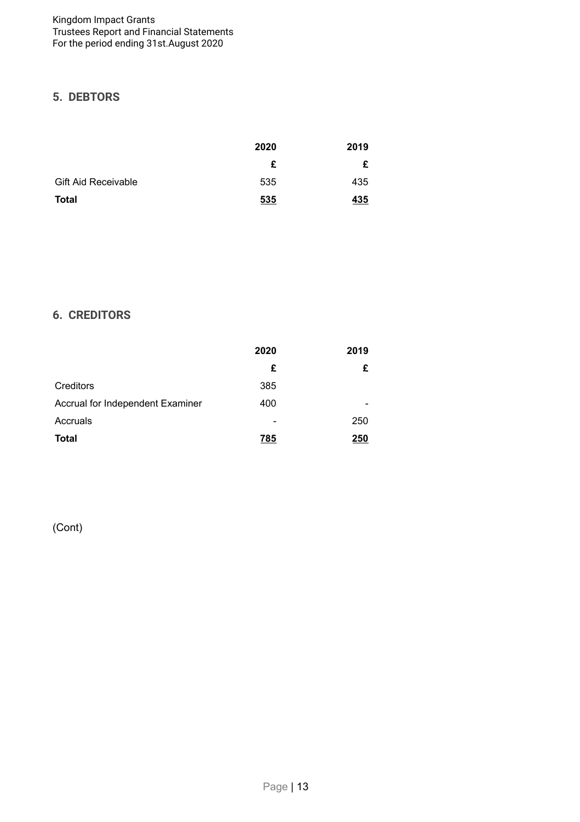# **5. DEBTORS**

|                            | 2020 | 2019 |
|----------------------------|------|------|
|                            | £    | £    |
| <b>Gift Aid Receivable</b> | 535  | 435  |
| Total                      | 535  | 435  |

# **6. CREDITORS**

|                                  | 2020 | 2019 |
|----------------------------------|------|------|
|                                  | £    | £    |
| Creditors                        | 385  |      |
| Accrual for Independent Examiner | 400  |      |
| Accruals                         | -    | 250  |
| <b>Total</b>                     | 785  | 250  |

(Cont)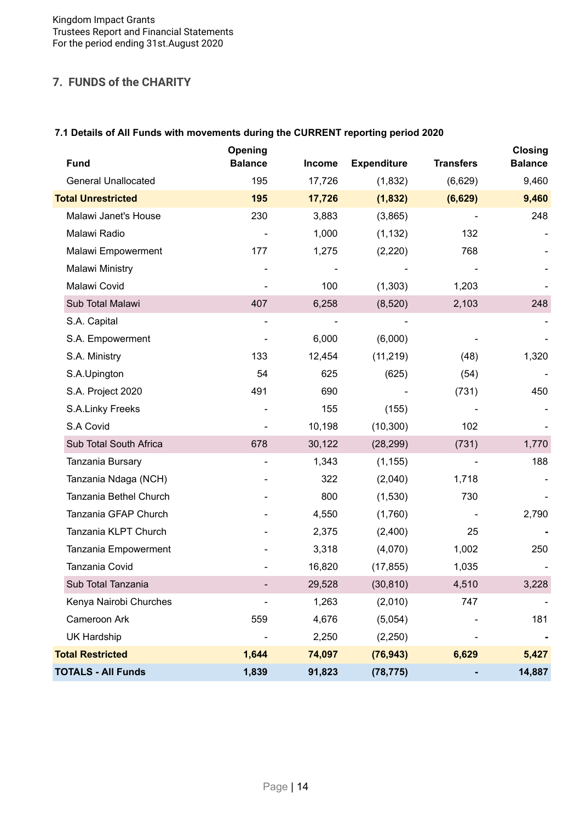## **7. FUNDS of the CHARITY**

## **7.1 Details of All Funds with movements during the CURRENT reporting period 2020**

| <b>Fund</b>                | Opening<br><b>Balance</b> | <b>Income</b> | <b>Expenditure</b> | <b>Transfers</b> | <b>Closing</b><br><b>Balance</b> |
|----------------------------|---------------------------|---------------|--------------------|------------------|----------------------------------|
| <b>General Unallocated</b> | 195                       | 17,726        | (1,832)            | (6,629)          | 9,460                            |
| <b>Total Unrestricted</b>  | 195                       | 17,726        | (1, 832)           | (6,629)          | 9,460                            |
| Malawi Janet's House       | 230                       | 3,883         | (3,865)            |                  | 248                              |
| Malawi Radio               |                           | 1,000         | (1, 132)           | 132              |                                  |
| Malawi Empowerment         | 177                       | 1,275         | (2,220)            | 768              |                                  |
| Malawi Ministry            |                           |               |                    |                  |                                  |
| Malawi Covid               |                           | 100           | (1, 303)           | 1,203            |                                  |
| Sub Total Malawi           | 407                       | 6,258         | (8,520)            | 2,103            | 248                              |
| S.A. Capital               |                           |               |                    |                  |                                  |
| S.A. Empowerment           |                           | 6,000         | (6,000)            |                  |                                  |
| S.A. Ministry              | 133                       | 12,454        | (11, 219)          | (48)             | 1,320                            |
| S.A.Upington               | 54                        | 625           | (625)              | (54)             |                                  |
| S.A. Project 2020          | 491                       | 690           |                    | (731)            | 450                              |
| S.A.Linky Freeks           |                           | 155           | (155)              |                  |                                  |
| S.A Covid                  |                           | 10,198        | (10, 300)          | 102              |                                  |
| Sub Total South Africa     | 678                       | 30,122        | (28, 299)          | (731)            | 1,770                            |
| Tanzania Bursary           |                           | 1,343         | (1, 155)           |                  | 188                              |
| Tanzania Ndaga (NCH)       |                           | 322           | (2,040)            | 1,718            |                                  |
| Tanzania Bethel Church     |                           | 800           | (1,530)            | 730              |                                  |
| Tanzania GFAP Church       |                           | 4,550         | (1,760)            |                  | 2,790                            |
| Tanzania KLPT Church       |                           | 2,375         | (2,400)            | 25               |                                  |
| Tanzania Empowerment       |                           | 3,318         | (4,070)            | 1,002            | 250                              |
| Tanzania Covid             |                           | 16,820        | (17, 855)          | 1,035            |                                  |
| Sub Total Tanzania         |                           | 29,528        | (30, 810)          | 4,510            | 3,228                            |
| Kenya Nairobi Churches     |                           | 1,263         | (2,010)            | 747              |                                  |
| Cameroon Ark               | 559                       | 4,676         | (5,054)            |                  | 181                              |
| <b>UK Hardship</b>         |                           | 2,250         | (2, 250)           |                  |                                  |
| <b>Total Restricted</b>    | 1,644                     | 74,097        | (76, 943)          | 6,629            | 5,427                            |
| <b>TOTALS - All Funds</b>  | 1,839                     | 91,823        | (78, 775)          |                  | 14,887                           |